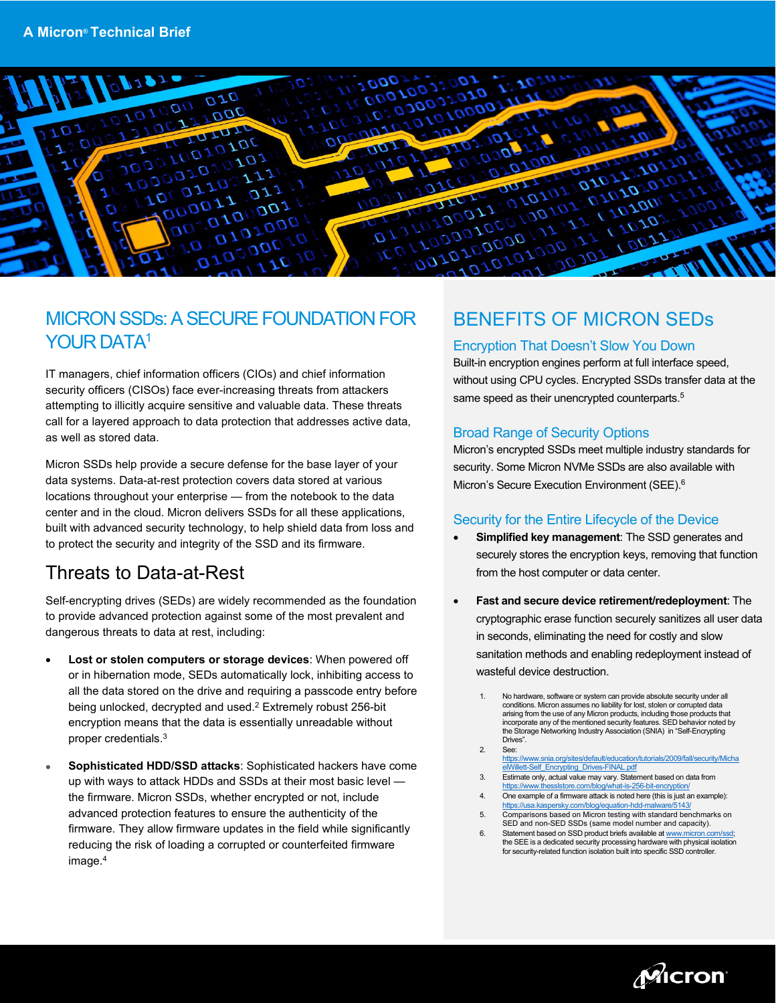

### MICRON SSDs: A SECURE FOUNDATION FOR YOUR DATA<sup>1</sup>

IT managers, chief information officers (CIOs) and chief information security officers (CISOs) face ever-increasing threats from attackers attempting to illicitly acquire sensitive and valuable data. These threats call for a layered approach to data protection that addresses active data, as well as stored data.

Micron SSDs help provide a secure defense for the base layer of your data systems. Data-at-rest protection covers data stored at various locations throughout your enterprise — from the notebook to the data center and in the cloud. Micron delivers SSDs for all these applications, built with advanced security technology, to help shield data from loss and to protect the security and integrity of the SSD and its firmware.

# Threats to Data-at-Rest

Self-encrypting drives (SEDs) are widely recommended as the foundation to provide advanced protection against some of the most prevalent and dangerous threats to data at rest, including:

- **Lost or stolen computers or storage devices**: When powered off or in hibernation mode, SEDs automatically lock, inhibiting access to all the data stored on the drive and requiring a passcode entry before being unlocked, decrypted and used.2 Extremely robust 256-bit encryption means that the data is essentially unreadable without proper credentials.3
- **Sophisticated HDD/SSD attacks**: Sophisticated hackers have come up with ways to attack HDDs and SSDs at their most basic level the firmware. Micron SSDs, whether encrypted or not, include advanced protection features to ensure the authenticity of the firmware. They allow firmware updates in the field while significantly reducing the risk of loading a corrupted or counterfeited firmware image.4

# BENEFITS OF MICRON SEDs

#### Encryption That Doesn't Slow You Down

Built-in encryption engines perform at full interface speed, without using CPU cycles. Encrypted SSDs transfer data at the same speed as their unencrypted counterparts.<sup>5</sup>

#### Broad Range of Security Options

Micron's encrypted SSDs meet multiple industry standards for security. Some Micron NVMe SSDs are also available with Micron's Secure Execution Environment (SEE). 6

#### Security for the Entire Lifecycle of the Device

- **Simplified key management**: The SSD generates and securely stores the encryption keys, removing that function from the host computer or data center.
- **Fast and secure device retirement/redeployment**: The cryptographic erase function securely sanitizes all user data in seconds, eliminating the need for costly and slow sanitation methods and enabling redeployment instead of wasteful device destruction.
	- 1. No hardware, software or system can provide absolute security under all conditions. Micron assumes no liability for lost, stolen or corrupted data arising from the use of any Micron products, including those products that incorporate any of the mentioned security features. SED behavior noted by the Storage Networking Industry Association (SNIA) in "Self-Encrypting Drives".
	- 2. See: [https://www.snia.org/sites/default/education/tutorials/2009/fall/security/Micha](https://www.snia.org/sites/default/education/tutorials/2009/fall/security/MichaelWillett-Self_Encrypting_Drives-FINAL.pdf) [elWillett-Self\\_Encrypting\\_Drives-FINAL.pdf](https://www.snia.org/sites/default/education/tutorials/2009/fall/security/MichaelWillett-Self_Encrypting_Drives-FINAL.pdf)
	- 3. [Estimate](https://www.eetimes.com/how-secure-is-aes-against-brute-force-attacks/) only, actual value may vary. Statement based on data from <https://www.thesslstore.com/blog/what-is-256-bit-encryption/>
	- 4. One example of a firmware attack is noted here (this is just an example): <https://usa.kaspersky.com/blog/equation-hdd-malware/5143/>
	- 5. Comparisons based on Micron testing with standard benchmarks on SED and non-SED SSDs (same model number and capacity).
	- 6. Statement based on SSD product briefs available at www.micron.com the SEE is a dedicated security processing hardware with physical isolation for security-related function isolation built into specific SSD controller.